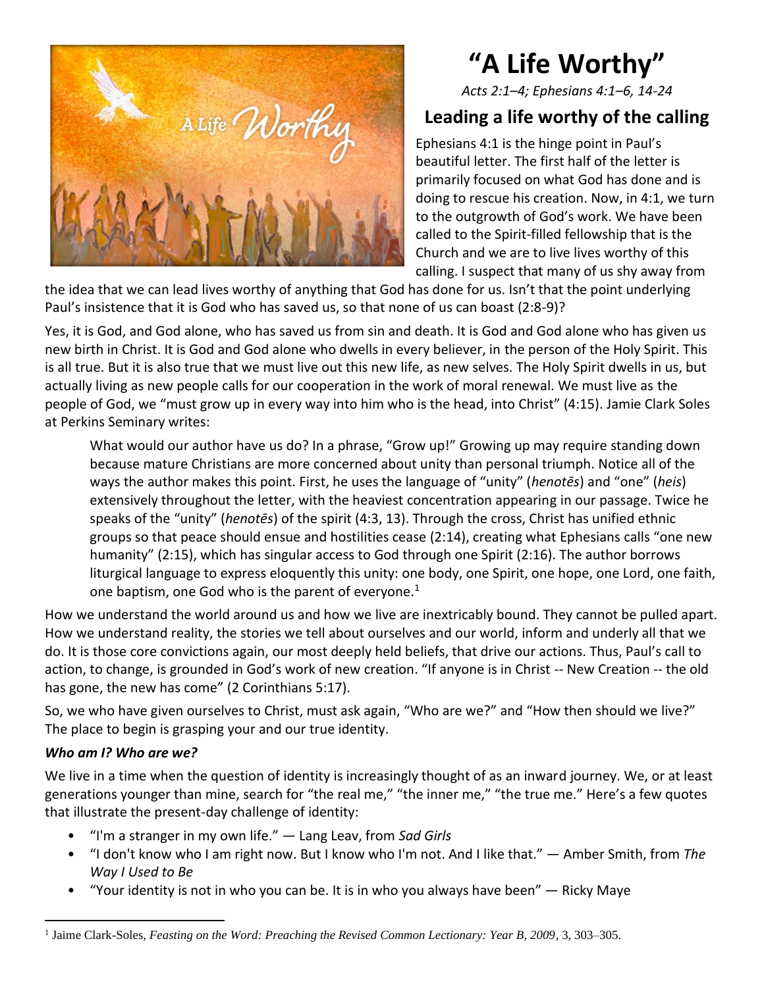

# **"A Life Worthy"**

*Acts 2:1–4; Ephesians 4:1–6, 14-24*

## **Leading a life worthy of the calling**

Ephesians 4:1 is the hinge point in Paul's beautiful letter. The first half of the letter is primarily focused on what God has done and is doing to rescue his creation. Now, in 4:1, we turn to the outgrowth of God's work. We have been called to the Spirit-filled fellowship that is the Church and we are to live lives worthy of this calling. I suspect that many of us shy away from

the idea that we can lead lives worthy of anything that God has done for us. Isn't that the point underlying Paul's insistence that it is God who has saved us, so that none of us can boast (2:8-9)?

Yes, it is God, and God alone, who has saved us from sin and death. It is God and God alone who has given us new birth in Christ. It is God and God alone who dwells in every believer, in the person of the Holy Spirit. This is all true. But it is also true that we must live out this new life, as new selves. The Holy Spirit dwells in us, but actually living as new people calls for our cooperation in the work of moral renewal. We must live as the people of God, we "must grow up in every way into him who is the head, into Christ" (4:15). Jamie Clark Soles at Perkins Seminary writes:

What would our author have us do? In a phrase, "Grow up!" Growing up may require standing down because mature Christians are more concerned about unity than personal triumph. Notice all of the ways the author makes this point. First, he uses the language of "unity" (*henotēs*) and "one" (*heis*) extensively throughout the letter, with the heaviest concentration appearing in our passage. Twice he speaks of the "unity" (*henotēs*) of the spirit (4:3, 13). Through the cross, Christ has unified ethnic groups so that peace should ensue and hostilities cease (2:14), creating what Ephesians calls "one new humanity" (2:15), which has singular access to God through one Spirit (2:16). The author borrows liturgical language to express eloquently this unity: one body, one Spirit, one hope, one Lord, one faith, one baptism, one God who is the parent of everyone. $1$ 

How we understand the world around us and how we live are inextricably bound. They cannot be pulled apart. How we understand reality, the stories we tell about ourselves and our world, inform and underly all that we do. It is those core convictions again, our most deeply held beliefs, that drive our actions. Thus, Paul's call to action, to change, is grounded in God's work of new creation. "If anyone is in Christ -- New Creation -- the old has gone, the new has come" (2 Corinthians 5:17).

So, we who have given ourselves to Christ, must ask again, "Who are we?" and "How then should we live?" The place to begin is grasping your and our true identity.

## *Who am I? Who are we?*

We live in a time when the question of identity is increasingly thought of as an inward journey. We, or at least generations younger than mine, search for "the real me," "the inner me," "the true me." Here's a few quotes that illustrate the present-day challenge of identity:

- "I'm a stranger in my own life." ― Lang Leav, from *Sad Girls*
- "I don't know who I am right now. But I know who I'm not. And I like that." ― Amber Smith, from *The Way I Used to Be*
- "Your identity is not in who you can be. It is in who you always have been" ― Ricky Maye

<sup>&</sup>lt;sup>1</sup> Jaime Clark-Soles, *Feasting on the Word: Preaching the Revised Common Lectionary: Year B, 2009*, 3, 303–305.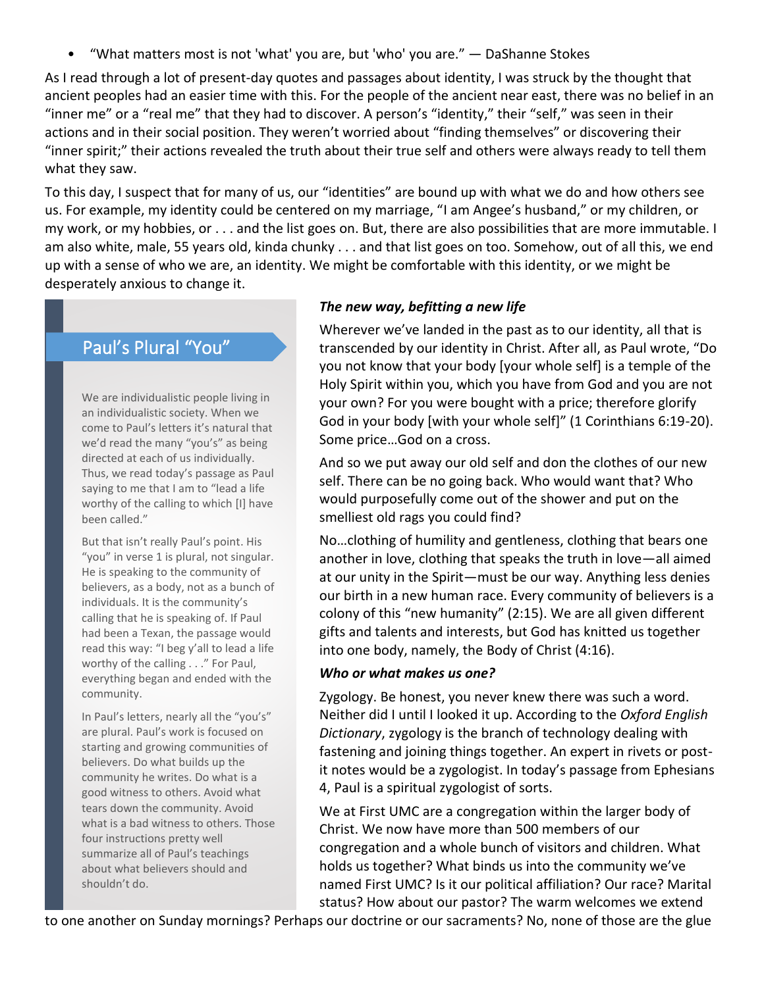• "What matters most is not 'what' you are, but 'who' you are." ― DaShanne Stokes

As I read through a lot of present-day quotes and passages about identity, I was struck by the thought that ancient peoples had an easier time with this. For the people of the ancient near east, there was no belief in an "inner me" or a "real me" that they had to discover. A person's "identity," their "self," was seen in their actions and in their social position. They weren't worried about "finding themselves" or discovering their "inner spirit;" their actions revealed the truth about their true self and others were always ready to tell them what they saw.

To this day, I suspect that for many of us, our "identities" are bound up with what we do and how others see us. For example, my identity could be centered on my marriage, "I am Angee's husband," or my children, or my work, or my hobbies, or . . . and the list goes on. But, there are also possibilities that are more immutable. I am also white, male, 55 years old, kinda chunky . . . and that list goes on too. Somehow, out of all this, we end up with a sense of who we are, an identity. We might be comfortable with this identity, or we might be desperately anxious to change it.

## Paul's Plural "You"

We are individualistic people living in an individualistic society. When we come to Paul's letters it's natural that we'd read the many "you's" as being directed at each of us individually. Thus, we read today's passage as Paul saying to me that I am to "lead a life worthy of the calling to which [I] have been called."

But that isn't really Paul's point. His "you" in verse 1 is plural, not singular. He is speaking to the community of believers, as a body, not as a bunch of individuals. It is the community's calling that he is speaking of. If Paul had been a Texan, the passage would read this way: "I beg y'all to lead a life worthy of the calling . . ." For Paul, everything began and ended with the community.

In Paul's letters, nearly all the "you's" are plural. Paul's work is focused on starting and growing communities of believers. Do what builds up the community he writes. Do what is a good witness to others. Avoid what tears down the community. Avoid what is a bad witness to others. Those four instructions pretty well summarize all of Paul's teachings about what believers should and shouldn't do.

### *The new way, befitting a new life*

Wherever we've landed in the past as to our identity, all that is transcended by our identity in Christ. After all, as Paul wrote, "Do you not know that your body [your whole self] is a temple of the Holy Spirit within you, which you have from God and you are not your own? For you were bought with a price; therefore glorify God in your body [with your whole self]" (1 Corinthians 6:19-20). Some price…God on a cross.

And so we put away our old self and don the clothes of our new self. There can be no going back. Who would want that? Who would purposefully come out of the shower and put on the smelliest old rags you could find?

No…clothing of humility and gentleness, clothing that bears one another in love, clothing that speaks the truth in love—all aimed at our unity in the Spirit—must be our way. Anything less denies our birth in a new human race. Every community of believers is a colony of this "new humanity" (2:15). We are all given different gifts and talents and interests, but God has knitted us together into one body, namely, the Body of Christ (4:16).

#### *Who or what makes us one?*

Zygology. Be honest, you never knew there was such a word. Neither did I until I looked it up. According to the *Oxford English Dictionary*, zygology is the branch of technology dealing with fastening and joining things together. An expert in rivets or postit notes would be a zygologist. In today's passage from Ephesians 4, Paul is a spiritual zygologist of sorts.

We at First UMC are a congregation within the larger body of Christ. We now have more than 500 members of our congregation and a whole bunch of visitors and children. What holds us together? What binds us into the community we've named First UMC? Is it our political affiliation? Our race? Marital status? How about our pastor? The warm welcomes we extend

to one another on Sunday mornings? Perhaps our doctrine or our sacraments? No, none of those are the glue